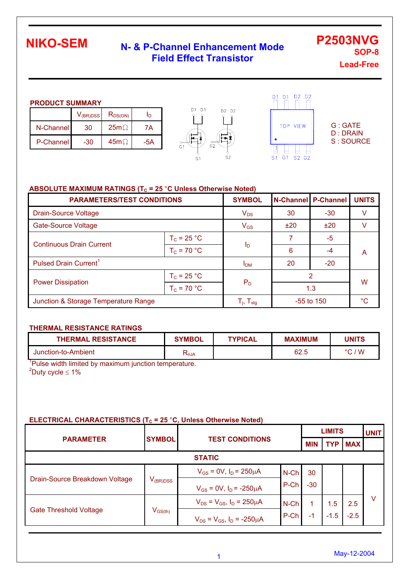## **N- & P-Channel Enhancement Mode Field Effect Transistor**

**SOP-8 Lead-Free** 

**P2503NVG** 

#### **PRODUCT SUMMARY**

|           | $V_{\rm (BR)DSS}$ | $R_{DS(ON)}$ | חו  |
|-----------|-------------------|--------------|-----|
| N-Channel | 30                | $25m\Omega$  | 7Α  |
| P-Channel | -30               | $45m\Omega$  | -5A |





G : GATE D : DRAIN S : SOURCE

### **ABSOLUTE MAXIMUM RATINGS (T<sub>C</sub> = 25 °C Unless Otherwise Noted)**

| <b>PARAMETERS/TEST CONDITIONS</b>    | <b>SYMBOL</b>         | N-Channel P-Channel                                   |          | <b>UNITS</b> |    |  |
|--------------------------------------|-----------------------|-------------------------------------------------------|----------|--------------|----|--|
| <b>Drain-Source Voltage</b>          | $V_{DS}$              | 30                                                    | $-30$    |              |    |  |
| <b>Gate-Source Voltage</b>           | $V_{GS}$              | ±20                                                   | ±20      |              |    |  |
|                                      | $T_c = 25 °C$         |                                                       |          | $-5$         |    |  |
| <b>Continuous Drain Current</b>      | $T_c = 70 °C$         | l <sub>D</sub>                                        | 6        | -4           | A  |  |
| Pulsed Drain Current <sup>1</sup>    | <b>I<sub>DM</sub></b> | 20                                                    | $-20$    |              |    |  |
| <b>Power Dissipation</b>             | $T_c = 25 °C$         |                                                       | 2<br>1.3 |              | W  |  |
|                                      | $T_c = 70 °C$         | $P_D$                                                 |          |              |    |  |
| Junction & Storage Temperature Range |                       | $\mathsf{T}_{\mathsf{j}},\,\mathsf{T}_{\mathsf{stg}}$ |          | $-55$ to 150 | °C |  |

#### **THERMAL RESISTANCE RATINGS**

| <b>THERMAL RESISTANCE</b> | <b>SYMBOL</b> | <b>TYPICAL</b> | <b>MAXIMUM</b> | <b>JNITS</b>         |
|---------------------------|---------------|----------------|----------------|----------------------|
| Junction-to-Ambient       | ৲θJA          |                | 62.5           | $\sqrt{W}$<br>$\sim$ |

<sup>1</sup>Pulse width limited by maximum junction temperature.  $^{2}$ Duty cycle  $\leq 1\%$ 

### **ELECTRICAL CHARACTERISTICS (T<sub>c</sub> = 25 °C, Unless Otherwise Noted)**

|                                |                                         |                                        |         |            | <b>LIMITS</b> |            |   |  |
|--------------------------------|-----------------------------------------|----------------------------------------|---------|------------|---------------|------------|---|--|
| <b>PARAMETER</b>               | <b>SYMBOL</b>                           | <b>TEST CONDITIONS</b>                 |         | <b>MIN</b> | <b>TYP</b>    | <b>MAX</b> |   |  |
|                                |                                         | <b>STATIC</b>                          |         |            |               |            |   |  |
|                                |                                         | $V_{GS} = 0V$ , $I_D = 250 \mu A$      | $N$ -Ch | 30         |               |            |   |  |
| Drain-Source Breakdown Voltage | $V_{(BR)DSS}$                           | $V_{GS} = 0V$ , $I_D = -250 \mu A$     | P-Ch    | $-30$      |               |            |   |  |
|                                |                                         | $V_{DS} = V_{GS}$ , $I_D = 250 \mu A$  | $N$ -Ch |            | 1.5           | 2.5        | v |  |
| <b>Gate Threshold Voltage</b>  | $\mathsf{V}_{\mathsf{GS}(\mathsf{th})}$ | $V_{DS} = V_{GS}$ , $I_D = -250 \mu A$ | P-Ch    | $-1$       | $-1.5$        | $-2.5$     |   |  |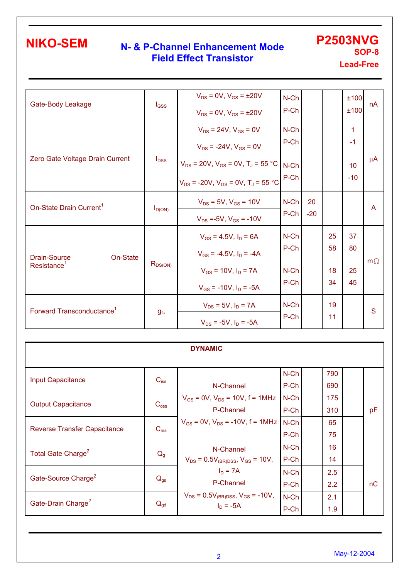## **N- & P-Channel Enhancement Mode Field Effect Transistor**

**P2503NVG SOP-8** 

**Lead-Free** 

| Gate-Body Leakage                     |          | $I_{GSS}$    | $V_{DS} = 0V$ , $V_{GS} = \pm 20V$<br>$V_{DS} = 0V$ , $V_{GS} = \pm 20V$                                        | $N$ -Ch<br>P-Ch |             |          | ±100<br>±100             | nA        |
|---------------------------------------|----------|--------------|-----------------------------------------------------------------------------------------------------------------|-----------------|-------------|----------|--------------------------|-----------|
|                                       |          |              | $V_{DS}$ = 24V, $V_{GS}$ = 0V<br>$V_{DS}$ = -24V, $V_{GS}$ = 0V                                                 | $N$ -Ch<br>P-Ch |             |          | 1<br>$-1$                |           |
| Zero Gate Voltage Drain Current       |          | $I_{DSS}$    | $V_{DS}$ = 20V, $V_{GS}$ = 0V, T <sub>J</sub> = 55 °C<br>$V_{DS}$ = -20V, $V_{GS}$ = 0V, T <sub>J</sub> = 55 °C | $N$ -Ch<br>P-Ch |             |          | 10 <sup>1</sup><br>$-10$ | $\mu$ A   |
| On-State Drain Current <sup>1</sup>   |          | $I_{D(ON)}$  | $V_{DS}$ = 5V, $V_{GS}$ = 10V<br>$V_{DS} = -5V$ , $V_{GS} = -10V$                                               | N-Ch<br>P-Ch    | 20<br>$-20$ |          |                          | A         |
| <b>Drain-Source</b>                   | On-State |              | $V_{GS} = 4.5V$ , $I_D = 6A$<br>$V_{GS}$ = -4.5V, $I_D$ = -4A                                                   | $N$ -Ch<br>P-Ch |             | 25<br>58 | 37<br>80                 | $m\Omega$ |
| Resistance <sup>1</sup>               |          | $R_{DS(ON)}$ | $V_{GS}$ = 10V, $I_D$ = 7A<br>$V_{GS}$ = -10V, $I_D$ = -5A                                                      | $N$ -Ch<br>P-Ch |             | 18<br>34 | 25<br>45                 |           |
| Forward Transconductance <sup>1</sup> |          | $g_{fs}$     | $V_{DS} = 5V$ , $I_D = 7A$<br>$V_{DS}$ = -5V, $I_D$ = -5A                                                       | $N$ -Ch<br>P-Ch |             | 19<br>11 |                          | S         |

| <b>DYNAMIC</b>                      |                  |                                                              |                 |            |  |    |  |  |  |  |
|-------------------------------------|------------------|--------------------------------------------------------------|-----------------|------------|--|----|--|--|--|--|
| <b>Input Capacitance</b>            | $C_{iss}$        | N-Channel                                                    | $N$ -Ch<br>P-Ch | 790<br>690 |  |    |  |  |  |  |
| <b>Output Capacitance</b>           | $C_{\text{oss}}$ | $V_{GS}$ = 0V, $V_{DS}$ = 10V, f = 1MHz<br>P-Channel         | $N$ -Ch<br>P-Ch | 175<br>310 |  | pF |  |  |  |  |
| <b>Reverse Transfer Capacitance</b> | C <sub>rss</sub> | $V_{GS}$ = 0V, $V_{DS}$ = -10V, f = 1MHz N-Ch                | P-Ch            | 65<br>75   |  |    |  |  |  |  |
| Total Gate Charge <sup>2</sup>      | $Q_{g}$          | N-Channel<br>$V_{DS} = 0.5V_{(BR)DSS}$ , $V_{GS} = 10V$ ,    | $N$ -Ch<br>P-Ch | 16<br>14   |  |    |  |  |  |  |
| Gate-Source Charge <sup>2</sup>     | $Q_{gs}$         | $I_D = 7A$<br>P-Channel                                      | $N$ -Ch<br>P-Ch | 2.5<br>2.2 |  | nC |  |  |  |  |
| Gate-Drain Charge <sup>2</sup>      | $Q_{gd}$         | $V_{DS} = 0.5V_{(BR)DSS}$ , $V_{GS} = -10V$ ,<br>$I_D = -5A$ | N-Ch<br>P-Ch    | 2.1<br>1.9 |  |    |  |  |  |  |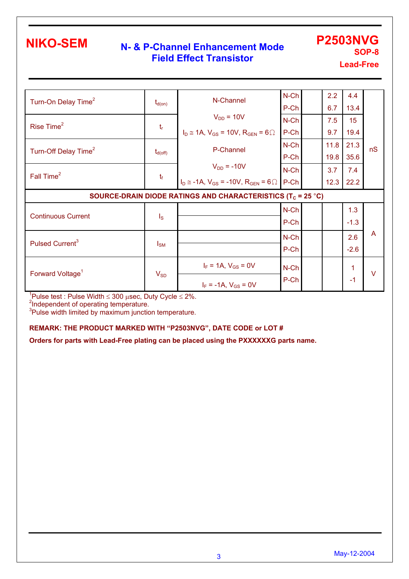### **N- & P-Channel Enhancement Mode Field Effect Transistor**

**P2503NVG SOP-8** 

**Lead-Free** 

| Turn-On Delay Time <sup>2</sup>                                         | $t_{d(on)}$             | N-Channel                                                  | $N$ -Ch<br>P-Ch |  | 2.2<br>6.7 | 4.4<br>13.4     |                |  |  |
|-------------------------------------------------------------------------|-------------------------|------------------------------------------------------------|-----------------|--|------------|-----------------|----------------|--|--|
| Rise Time <sup>2</sup>                                                  |                         | $V_{DD} = 10V$                                             | $N$ -Ch         |  | 7.5        | 15 <sub>2</sub> |                |  |  |
|                                                                         | $t_{\rm r}$             | $I_D \cong 1A$ , $V_{GS} = 10V$ , $R_{GEN} = 6 \Omega$     | $P-Ch$          |  | 9.7        | 19.4            |                |  |  |
| Turn-Off Delay Time <sup>2</sup>                                        | $t_{d(\text{off})}$     | P-Channel                                                  | N-Ch            |  | 11.8       | 21.3            | nS             |  |  |
|                                                                         |                         |                                                            | P-Ch            |  | 19.8       | 35.6            |                |  |  |
| Fall Time <sup>2</sup>                                                  |                         | $V_{DD} = -10V$                                            | $N$ -Ch         |  | 3.7        | 7.4             |                |  |  |
|                                                                         | $t_f$                   | $I_D \approx -1A$ , $V_{GS} = -10V$ , $R_{GEN} = 6 \Omega$ | $P-Ch$          |  | 12.3       | 22.2            |                |  |  |
| SOURCE-DRAIN DIODE RATINGS AND CHARACTERISTICS (T <sub>c</sub> = 25 °C) |                         |                                                            |                 |  |            |                 |                |  |  |
|                                                                         |                         |                                                            |                 |  |            |                 |                |  |  |
|                                                                         |                         |                                                            | $N$ -Ch         |  |            | 1.3             |                |  |  |
| <b>Continuous Current</b>                                               | $\mathsf{I}_\mathsf{S}$ |                                                            | $P-Ch$          |  |            | $-1.3$          |                |  |  |
|                                                                         |                         |                                                            | $N$ -Ch         |  |            | 2.6             | $\overline{A}$ |  |  |
| Pulsed Current <sup>3</sup>                                             | $I_{\text{SM}}$         |                                                            | P-Ch            |  |            | $-2.6$          |                |  |  |
| Forward Voltage <sup>1</sup>                                            |                         | $I_F = 1A$ , $V_{GS} = 0V$                                 | $N$ -Ch         |  |            | 1               |                |  |  |

<sup>1</sup>Pulse test : Pulse Width ≤ 300 μsec, Duty Cycle ≤ 2%.<br><sup>2</sup>Independent of operating temperature.<br><sup>3</sup>Pulse width limited by maximum junction temperature.

#### **REMARK: THE PRODUCT MARKED WITH "P2503NVG", DATE CODE or LOT #**

**Orders for parts with Lead-Free plating can be placed using the PXXXXXXG parts name.**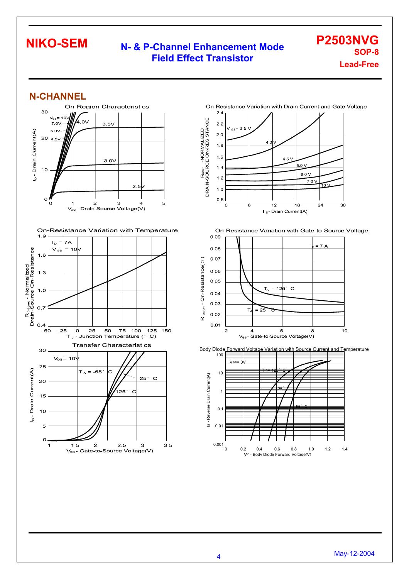### **N- & P-Channel Enhancement Mode Field Effect Transistor**

**P2503NVG SOP-8 Lead-Free** 

### **N-CHANNEL**

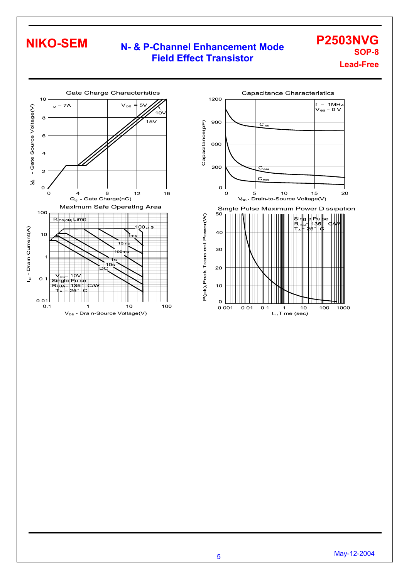## **N- & P-Channel Enhancement Mode Field Effect Transistor**

**P2503NVG SOP-8 Lead-Free** 



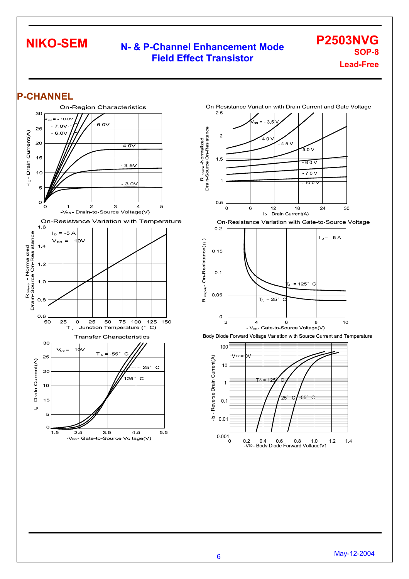### **N- & P-Channel Enhancement Mode Field Effect Transistor**

**P2503NVG SOP-8 Lead-Free** 

### **P-CHANNEL**











<sup>6</sup>May-12-2004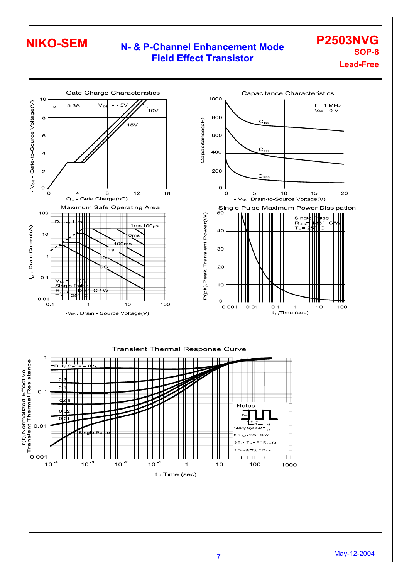### **N- & P-Channel Enhancement Mode Field Effect Transistor**

**P2503NVG SOP-8 Lead-Free**